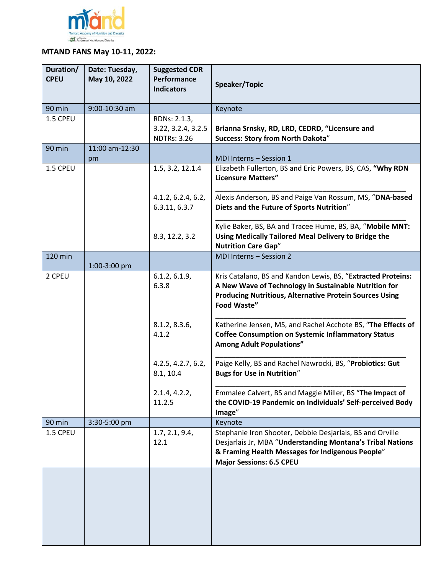

## **MTAND FANS May 10-11, 2022:**

| Duration/<br><b>CPEU</b> | Date: Tuesday,<br>May 10, 2022 | <b>Suggested CDR</b><br>Performance<br><b>Indicators</b> | Speaker/Topic                                                                                                                                                                                          |
|--------------------------|--------------------------------|----------------------------------------------------------|--------------------------------------------------------------------------------------------------------------------------------------------------------------------------------------------------------|
| 90 min                   | 9:00-10:30 am                  |                                                          | Keynote                                                                                                                                                                                                |
| 1.5 CPEU                 |                                | RDNs: 2.1.3,<br>3.22, 3.2.4, 3.2.5<br><b>NDTRs: 3.26</b> | Brianna Srnsky, RD, LRD, CEDRD, "Licensure and<br>Success: Story from North Dakota"                                                                                                                    |
| 90 min                   | 11:00 am-12:30<br>pm           |                                                          | MDI Interns - Session 1                                                                                                                                                                                |
| 1.5 CPEU                 |                                | 1.5, 3.2, 12.1.4                                         | Elizabeth Fullerton, BS and Eric Powers, BS, CAS, "Why RDN<br><b>Licensure Matters"</b>                                                                                                                |
|                          |                                | 4.1.2, 6.2.4, 6.2,<br>6.3.11, 6.3.7                      | Alexis Anderson, BS and Paige Van Rossum, MS, "DNA-based<br>Diets and the Future of Sports Nutrition"                                                                                                  |
|                          |                                | 8.3, 12.2, 3.2                                           | Kylie Baker, BS, BA and Tracee Hume, BS, BA, "Mobile MNT:<br>Using Medically Tailored Meal Delivery to Bridge the<br><b>Nutrition Care Gap"</b>                                                        |
| 120 min                  | 1:00-3:00 pm                   |                                                          | MDI Interns - Session 2                                                                                                                                                                                |
| 2 CPEU                   |                                | 6.1.2, 6.1.9,<br>6.3.8                                   | Kris Catalano, BS and Kandon Lewis, BS, "Extracted Proteins:<br>A New Wave of Technology in Sustainable Nutrition for<br><b>Producing Nutritious, Alternative Protein Sources Using</b><br>Food Waste" |
|                          |                                | 8.1.2, 8.3.6,<br>4.1.2                                   | Katherine Jensen, MS, and Rachel Acchote BS, "The Effects of<br><b>Coffee Consumption on Systemic Inflammatory Status</b><br><b>Among Adult Populations"</b>                                           |
|                          |                                | 4.2.5, 4.2.7, 6.2,<br>8.1, 10.4                          | Paige Kelly, BS and Rachel Nawrocki, BS, "Probiotics: Gut<br><b>Bugs for Use in Nutrition"</b>                                                                                                         |
|                          |                                | 2.1.4, 4.2.2,<br>11.2.5                                  | Emmalee Calvert, BS and Maggie Miller, BS "The Impact of<br>the COVID-19 Pandemic on Individuals' Self-perceived Body<br>Image"                                                                        |
| 90 min                   | 3:30-5:00 pm                   |                                                          | Keynote                                                                                                                                                                                                |
| 1.5 CPEU                 |                                | 1.7, 2.1, 9.4,<br>12.1                                   | Stephanie Iron Shooter, Debbie Desjarlais, BS and Orville<br>Desjarlais Jr, MBA "Understanding Montana's Tribal Nations<br>& Framing Health Messages for Indigenous People"                            |
|                          |                                |                                                          | <b>Major Sessions: 6.5 CPEU</b>                                                                                                                                                                        |
|                          |                                |                                                          |                                                                                                                                                                                                        |